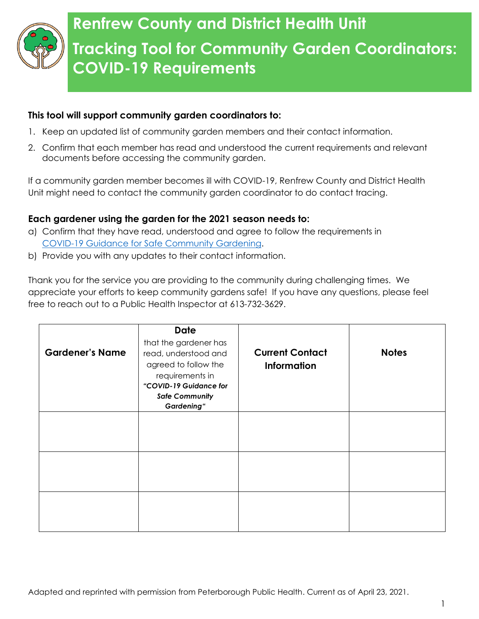

## **Renfrew County and District Health Unit Tracking Tool for Community Garden Coordinators: COVID-19 Requirements**

## **This tool will support community garden coordinators to:**

- 1. Keep an updated list of community garden members and their contact information.
- 2. Confirm that each member has read and understood the current requirements and relevant documents before accessing the community garden.

If a community garden member becomes ill with COVID-19, Renfrew County and District Health Unit might need to contact the community garden coordinator to do contact tracing.

## **Each gardener using the garden for the 2021 season needs to:**

- a) Confirm that they have read, understood and agree to follow the requirements in [COVID-19 Guidance for Safe Community Gardening.](https://www.rcdhu.com/wp-content/uploads/2021/05/COVID-19-Guidance-for-Safe-Community-Gardening-Final-April-29-2021.pdf)
- b) Provide you with any updates to their contact information.

Thank you for the service you are providing to the community during challenging times. We appreciate your efforts to keep community gardens safe! If you have any questions, please feel free to reach out to a Public Health Inspector at 613-732-3629.

| <b>Gardener's Name</b> | <b>Date</b><br>that the gardener has<br>read, understood and<br>agreed to follow the<br>requirements in<br>"COVID-19 Guidance for<br><b>Safe Community</b><br><b>Gardening</b> " | <b>Current Contact</b><br><b>Information</b> | <b>Notes</b> |
|------------------------|----------------------------------------------------------------------------------------------------------------------------------------------------------------------------------|----------------------------------------------|--------------|
|                        |                                                                                                                                                                                  |                                              |              |
|                        |                                                                                                                                                                                  |                                              |              |
|                        |                                                                                                                                                                                  |                                              |              |